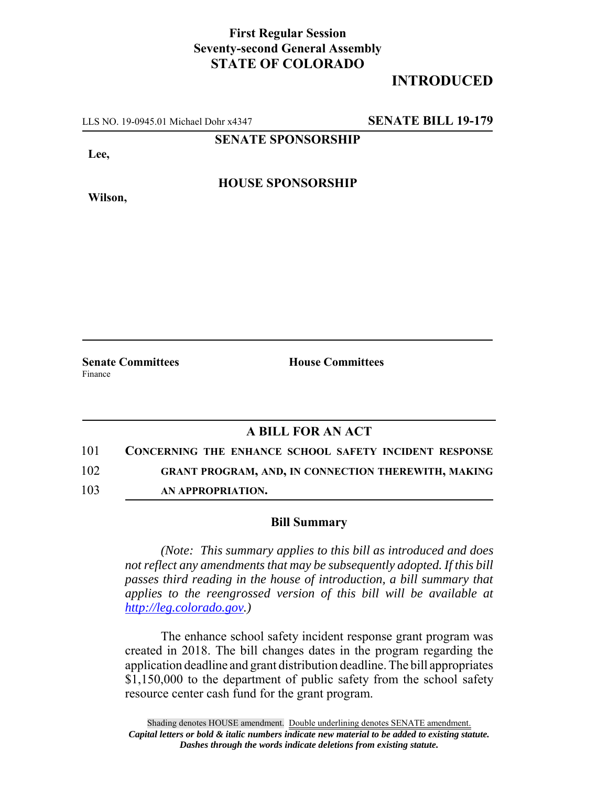## **First Regular Session Seventy-second General Assembly STATE OF COLORADO**

## **INTRODUCED**

LLS NO. 19-0945.01 Michael Dohr x4347 **SENATE BILL 19-179**

**SENATE SPONSORSHIP**

**Lee,**

**Wilson,**

**HOUSE SPONSORSHIP**

Finance

**Senate Committees House Committees** 

## **A BILL FOR AN ACT**

101 **CONCERNING THE ENHANCE SCHOOL SAFETY INCIDENT RESPONSE**

102 **GRANT PROGRAM, AND, IN CONNECTION THEREWITH, MAKING**

103 **AN APPROPRIATION.**

## **Bill Summary**

*(Note: This summary applies to this bill as introduced and does not reflect any amendments that may be subsequently adopted. If this bill passes third reading in the house of introduction, a bill summary that applies to the reengrossed version of this bill will be available at http://leg.colorado.gov.)*

The enhance school safety incident response grant program was created in 2018. The bill changes dates in the program regarding the application deadline and grant distribution deadline. The bill appropriates \$1,150,000 to the department of public safety from the school safety resource center cash fund for the grant program.